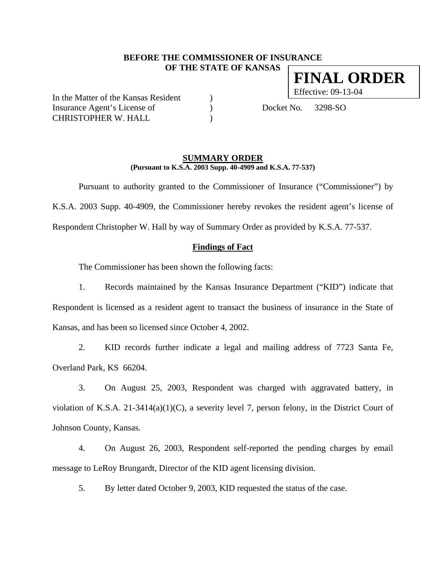## **BEFORE THE COMMISSIONER OF INSURANCE OF THE STATE OF KANSAS**

In the Matter of the Kansas Resident ) Effective: 09-13-04 Insurance Agent's License of (a) Docket No. 3298-SO CHRISTOPHER W. HALL )

#### **SUMMARY ORDER (Pursuant to K.S.A. 2003 Supp. 40-4909 and K.S.A. 77-537)**

Pursuant to authority granted to the Commissioner of Insurance ("Commissioner") by K.S.A. 2003 Supp. 40-4909, the Commissioner hereby revokes the resident agent's license of Respondent Christopher W. Hall by way of Summary Order as provided by K.S.A. 77-537.

## **Findings of Fact**

The Commissioner has been shown the following facts:

1. Records maintained by the Kansas Insurance Department ("KID") indicate that Respondent is licensed as a resident agent to transact the business of insurance in the State of Kansas, and has been so licensed since October 4, 2002.

2. KID records further indicate a legal and mailing address of 7723 Santa Fe, Overland Park, KS 66204.

3. On August 25, 2003, Respondent was charged with aggravated battery, in violation of K.S.A. 21-3414(a)(1)(C), a severity level 7, person felony, in the District Court of Johnson County, Kansas.

4. On August 26, 2003, Respondent self-reported the pending charges by email message to LeRoy Brungardt, Director of the KID agent licensing division.

5. By letter dated October 9, 2003, KID requested the status of the case.

**FINAL ORDER**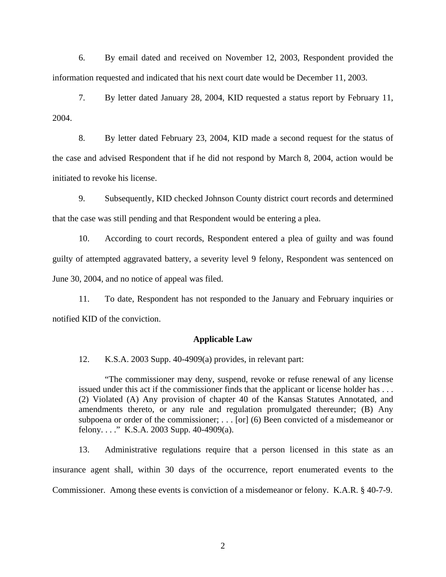6. By email dated and received on November 12, 2003, Respondent provided the information requested and indicated that his next court date would be December 11, 2003.

7. By letter dated January 28, 2004, KID requested a status report by February 11, 2004.

8. By letter dated February 23, 2004, KID made a second request for the status of the case and advised Respondent that if he did not respond by March 8, 2004, action would be initiated to revoke his license.

9. Subsequently, KID checked Johnson County district court records and determined that the case was still pending and that Respondent would be entering a plea.

10. According to court records, Respondent entered a plea of guilty and was found guilty of attempted aggravated battery, a severity level 9 felony, Respondent was sentenced on June 30, 2004, and no notice of appeal was filed.

11. To date, Respondent has not responded to the January and February inquiries or notified KID of the conviction.

#### **Applicable Law**

12. K.S.A. 2003 Supp. 40-4909(a) provides, in relevant part:

"The commissioner may deny, suspend, revoke or refuse renewal of any license issued under this act if the commissioner finds that the applicant or license holder has . . . (2) Violated (A) Any provision of chapter 40 of the Kansas Statutes Annotated, and amendments thereto, or any rule and regulation promulgated thereunder; (B) Any subpoena or order of the commissioner; . . . [or] (6) Been convicted of a misdemeanor or felony...." K.S.A. 2003 Supp. 40-4909(a).

13. Administrative regulations require that a person licensed in this state as an insurance agent shall, within 30 days of the occurrence, report enumerated events to the Commissioner. Among these events is conviction of a misdemeanor or felony. K.A.R. § 40-7-9.

2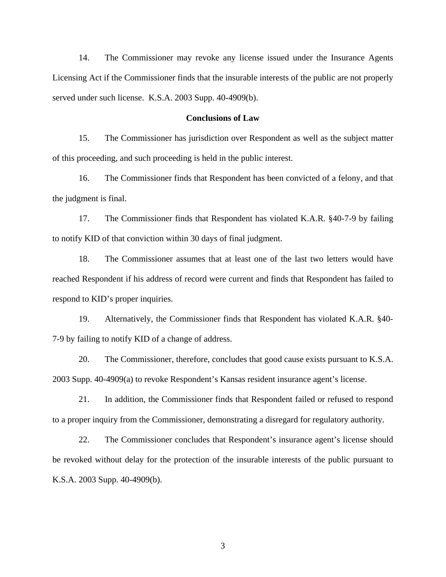14. The Commissioner may revoke any license issued under the Insurance Agents Licensing Act if the Commissioner finds that the insurable interests of the public are not properly served under such license. K.S.A. 2003 Supp. 40-4909(b).

## **Conclusions of Law**

15. The Commissioner has jurisdiction over Respondent as well as the subject matter of this proceeding, and such proceeding is held in the public interest.

16. The Commissioner finds that Respondent has been convicted of a felony, and that the judgment is final.

17. The Commissioner finds that Respondent has violated K.A.R. §40-7-9 by failing to notify KID of that conviction within 30 days of final judgment.

18. The Commissioner assumes that at least one of the last two letters would have reached Respondent if his address of record were current and finds that Respondent has failed to respond to KID's proper inquiries.

19. Alternatively, the Commissioner finds that Respondent has violated K.A.R. §40- 7-9 by failing to notify KID of a change of address.

20. The Commissioner, therefore, concludes that good cause exists pursuant to K.S.A. 2003 Supp. 40-4909(a) to revoke Respondent's Kansas resident insurance agent's license.

21. In addition, the Commissioner finds that Respondent failed or refused to respond to a proper inquiry from the Commissioner, demonstrating a disregard for regulatory authority.

22. The Commissioner concludes that Respondent's insurance agent's license should be revoked without delay for the protection of the insurable interests of the public pursuant to K.S.A. 2003 Supp. 40-4909(b).

3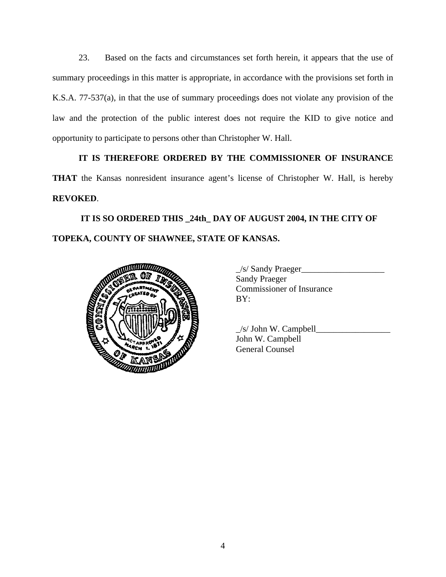23. Based on the facts and circumstances set forth herein, it appears that the use of summary proceedings in this matter is appropriate, in accordance with the provisions set forth in K.S.A. 77-537(a), in that the use of summary proceedings does not violate any provision of the law and the protection of the public interest does not require the KID to give notice and opportunity to participate to persons other than Christopher W. Hall.

# **IT IS THEREFORE ORDERED BY THE COMMISSIONER OF INSURANCE**

**THAT** the Kansas nonresident insurance agent's license of Christopher W. Hall, is hereby **REVOKED**.

 **IT IS SO ORDERED THIS \_24th\_ DAY OF AUGUST 2004, IN THE CITY OF TOPEKA, COUNTY OF SHAWNEE, STATE OF KANSAS.** 



| /s/ Sandy Praeger                |
|----------------------------------|
| <b>Sandy Praeger</b>             |
| <b>Commissioner of Insurance</b> |
| BY:                              |
|                                  |

|                                                                                                                     | $/s$ John W. Campbell |
|---------------------------------------------------------------------------------------------------------------------|-----------------------|
| <b>COLLEGE DE LA COLLEGE DE LA COLLEGE DE LA COLLEGE DE LA COLLEGE DE LA COLLEGE DE LA COLLEGE DE LA COLLEGE DE</b> | John W. Campbell      |
|                                                                                                                     | General Counsel       |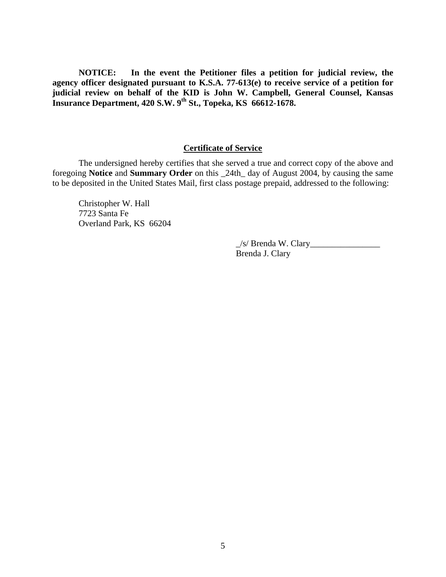**NOTICE: In the event the Petitioner files a petition for judicial review, the agency officer designated pursuant to K.S.A. 77-613(e) to receive service of a petition for judicial review on behalf of the KID is John W. Campbell, General Counsel, Kansas Insurance Department, 420 S.W. 9th St., Topeka, KS 66612-1678.** 

# **Certificate of Service**

The undersigned hereby certifies that she served a true and correct copy of the above and foregoing **Notice** and **Summary Order** on this \_24th\_ day of August 2004, by causing the same to be deposited in the United States Mail, first class postage prepaid, addressed to the following:

Christopher W. Hall 7723 Santa Fe Overland Park, KS 66204

> $\angle$ s/ Brenda W. Clary $\angle$ Brenda J. Clary